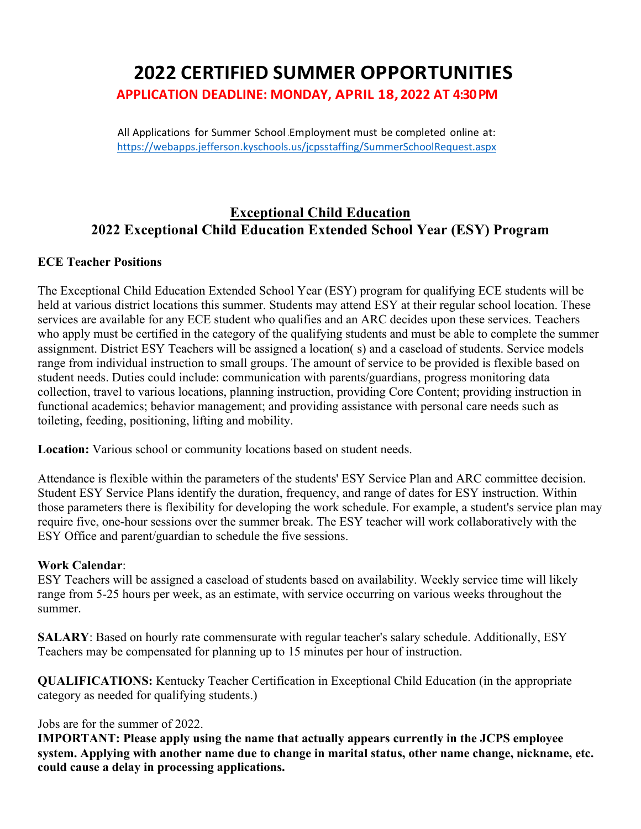# **2022 CERTIFIED SUMMER OPPORTUNITIES**

**APPLICATION DEADLINE: MONDAY, APRIL 18, 2022 AT 4:30PM**

All Applications for Summer School .Employment must be completed online at: https://webapps.jefferson.kyschools.us/jcpsstaffing/SummerSchoolRequest.aspx

## **Exceptional Child Education 2022 Exceptional Child Education Extended School Year (ESY) Program**

#### **ECE Teacher Positions**

The Exceptional Child Education Extended School Year (ESY) program for qualifying ECE students will be held at various district locations this summer. Students may attend ESY at their regular school location. These services are available for any ECE student who qualifies and an ARC decides upon these services. Teachers who apply must be certified in the category of the qualifying students and must be able to complete the summer assignment. District ESY Teachers will be assigned a location( s) and a caseload of students. Service models range from individual instruction to small groups. The amount of service to be provided is flexible based on student needs. Duties could include: communication with parents/guardians, progress monitoring data collection, travel to various locations, planning instruction, providing Core Content; providing instruction in functional academics; behavior management; and providing assistance with personal care needs such as toileting, feeding, positioning, lifting and mobility.

**Location:** Various school or community locations based on student needs.

Attendance is flexible within the parameters of the students' ESY Service Plan and ARC committee decision. Student ESY Service Plans identify the duration, frequency, and range of dates for ESY instruction. Within those parameters there is flexibility for developing the work schedule. For example, a student's service plan may require five, one-hour sessions over the summer break. The ESY teacher will work collaboratively with the ESY Office and parent/guardian to schedule the five sessions.

#### **Work Calendar**:

ESY Teachers will be assigned a caseload of students based on availability. Weekly service time will likely range from 5-25 hours per week, as an estimate, with service occurring on various weeks throughout the summer.

**SALARY**: Based on hourly rate commensurate with regular teacher's salary schedule. Additionally, ESY Teachers may be compensated for planning up to 15 minutes per hour of instruction.

**QUALIFICATIONS:** Kentucky Teacher Certification in Exceptional Child Education (in the appropriate category as needed for qualifying students.)

#### Jobs are for the summer of 2022.

**IMPORTANT: Please apply using the name that actually appears currently in the JCPS employee system. Applying with another name due to change in marital status, other name change, nickname, etc. could cause a delay in processing applications.**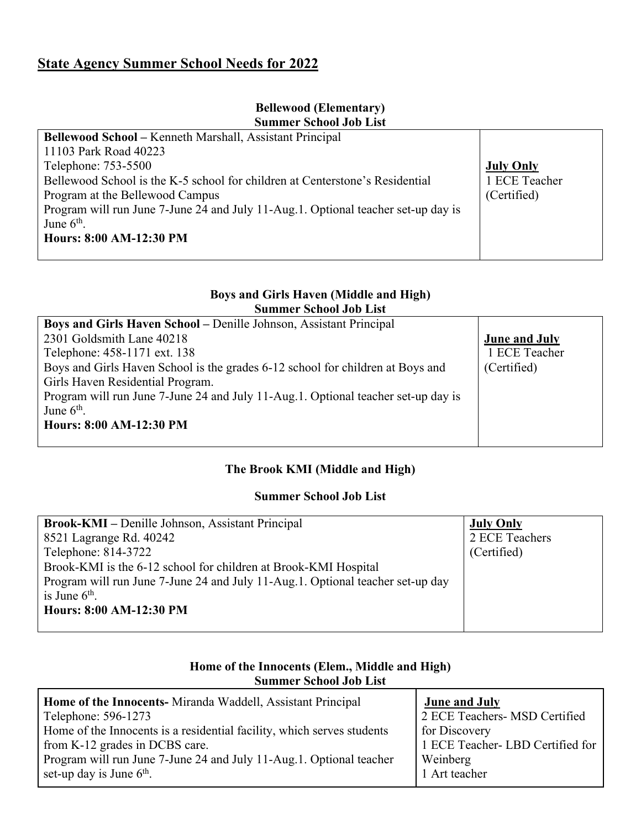## **State Agency Summer School Needs for 2022**

#### **Bellewood (Elementary) Summer School Job List**

| <b>Bellewood School – Kenneth Marshall, Assistant Principal</b>                   |                  |
|-----------------------------------------------------------------------------------|------------------|
| 11103 Park Road 40223                                                             |                  |
| Telephone: 753-5500                                                               | <b>July Only</b> |
| Bellewood School is the K-5 school for children at Centerstone's Residential      | 1 ECE Teacher    |
| Program at the Bellewood Campus                                                   | (Certified)      |
| Program will run June 7-June 24 and July 11-Aug.1. Optional teacher set-up day is |                  |
| June $6th$ .                                                                      |                  |
| Hours: 8:00 AM-12:30 PM                                                           |                  |
|                                                                                   |                  |

#### **Boys and Girls Haven (Middle and High) Summer School Job List**

| Boys and Girls Haven School – Denille Johnson, Assistant Principal                |                      |
|-----------------------------------------------------------------------------------|----------------------|
| 2301 Goldsmith Lane 40218                                                         | <b>June and July</b> |
| Telephone: 458-1171 ext. 138                                                      | 1 ECE Teacher        |
| Boys and Girls Haven School is the grades 6-12 school for children at Boys and    | (Certified)          |
| Girls Haven Residential Program.                                                  |                      |
| Program will run June 7-June 24 and July 11-Aug.1. Optional teacher set-up day is |                      |
| June $6th$ .                                                                      |                      |
| <b>Hours: 8:00 AM-12:30 PM</b>                                                    |                      |
|                                                                                   |                      |

## **The Brook KMI (Middle and High)**

#### **Summer School Job List**

| <b>Brook-KMI</b> – Denille Johnson, Assistant Principal                        | <b>July Only</b> |
|--------------------------------------------------------------------------------|------------------|
| 8521 Lagrange Rd. 40242                                                        | 2 ECE Teachers   |
| Telephone: 814-3722                                                            | (Certified)      |
| Brook-KMI is the 6-12 school for children at Brook-KMI Hospital                |                  |
| Program will run June 7-June 24 and July 11-Aug.1. Optional teacher set-up day |                  |
| is June $6th$ .                                                                |                  |
| Hours: 8:00 AM-12:30 PM                                                        |                  |
|                                                                                |                  |

#### **Home of the Innocents (Elem., Middle and High) Summer School Job List**

| Home of the Innocents- Miranda Waddell, Assistant Principal            | <b>June and July</b>             |
|------------------------------------------------------------------------|----------------------------------|
| Telephone: 596-1273                                                    | 2 ECE Teachers- MSD Certified    |
| Home of the Innocents is a residential facility, which serves students | for Discovery                    |
| from K-12 grades in DCBS care.                                         | 1 ECE Teacher- LBD Certified for |
| Program will run June 7-June 24 and July 11-Aug.1. Optional teacher    | Weinberg                         |
| set-up day is June $6th$ .                                             | 1 Art teacher                    |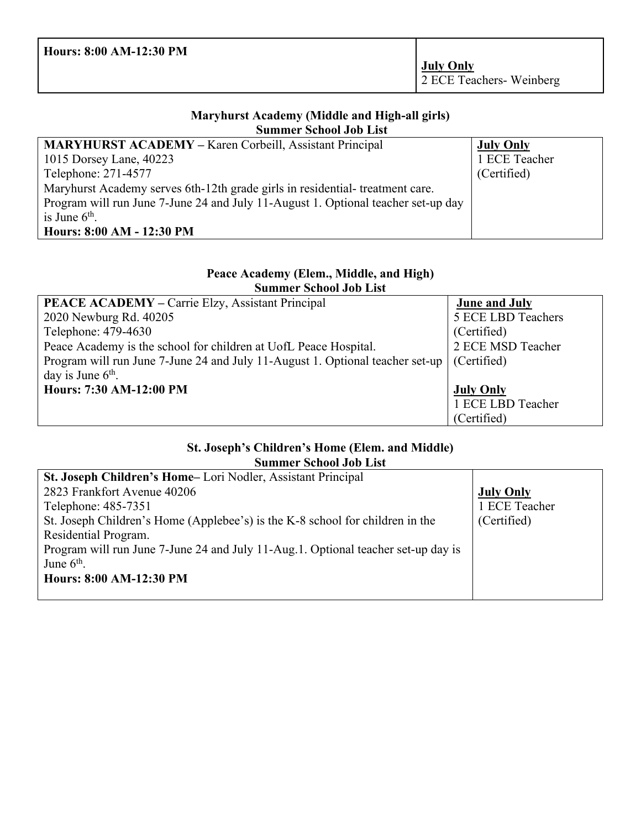| Hours: 8:00 AM-12:30 PM |                                             |
|-------------------------|---------------------------------------------|
|                         | <b>July Only</b><br>2 ECE Teachers-Weinberg |

#### **Maryhurst Academy (Middle and High-all girls) Summer School Job List**

| <b>MARYHURST ACADEMY – Karen Corbeill, Assistant Principal</b>                    | <b>July Only</b> |
|-----------------------------------------------------------------------------------|------------------|
| 1015 Dorsey Lane, 40223                                                           | 1 ECE Teacher    |
| Telephone: 271-4577                                                               | (Certified)      |
| Maryhurst Academy serves 6th-12th grade girls in residential-treatment care.      |                  |
| Program will run June 7-June 24 and July 11-August 1. Optional teacher set-up day |                  |
| is June $6th$ .                                                                   |                  |
| Hours: 8:00 AM - 12:30 PM                                                         |                  |

#### **Peace Academy (Elem., Middle, and High) Summer School Job List**

| <b>PEACE ACADEMY</b> – Carrie Elzy, Assistant Principal                       | <b>June and July</b> |
|-------------------------------------------------------------------------------|----------------------|
| 2020 Newburg Rd. 40205                                                        | 5 ECE LBD Teachers   |
| Telephone: 479-4630                                                           | (Certified)          |
| Peace Academy is the school for children at UofL Peace Hospital.              | 2 ECE MSD Teacher    |
| Program will run June 7-June 24 and July 11-August 1. Optional teacher set-up | (Certified)          |
| day is June $6th$ .                                                           |                      |
| Hours: 7:30 AM-12:00 PM                                                       | <b>July Only</b>     |
|                                                                               | 1 ECE LBD Teacher    |
|                                                                               | (Certified)          |

#### **St. Joseph's Children's Home (Elem. and Middle) Summer School Job List**

| St. Joseph Children's Home-Lori Nodler, Assistant Principal                       |                  |
|-----------------------------------------------------------------------------------|------------------|
| 2823 Frankfort Avenue 40206                                                       | <b>July Only</b> |
| Telephone: 485-7351                                                               | 1 ECE Teacher    |
| St. Joseph Children's Home (Applebee's) is the K-8 school for children in the     | (Certified)      |
| Residential Program.                                                              |                  |
| Program will run June 7-June 24 and July 11-Aug.1. Optional teacher set-up day is |                  |
| June $6th$ .                                                                      |                  |
| Hours: 8:00 AM-12:30 PM                                                           |                  |
|                                                                                   |                  |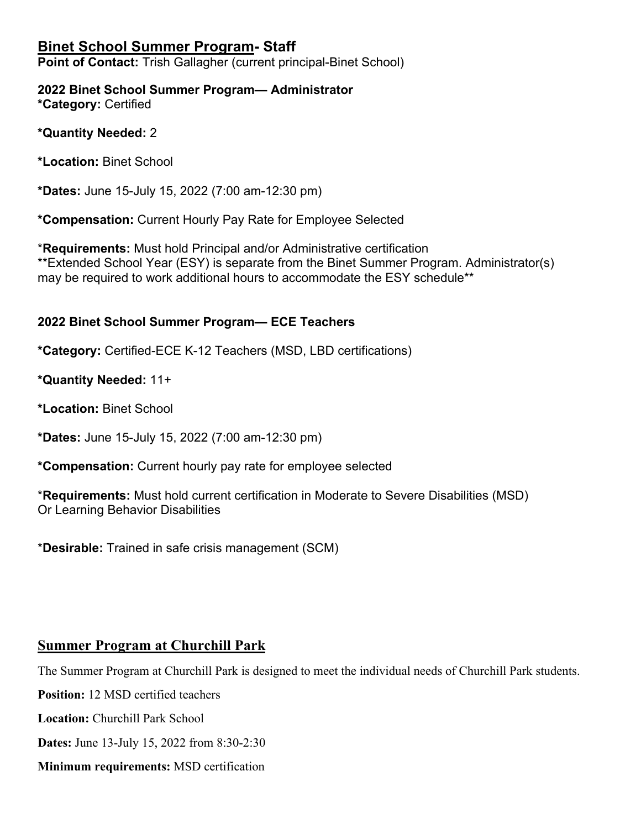## **Binet School Summer Program- Staff**

**Point of Contact:** Trish Gallagher (current principal-Binet School)

**2022 Binet School Summer Program— Administrator \*Category:** Certified

**\*Quantity Needed:** 2

**\*Location:** Binet School

**\*Dates:** June 15-July 15, 2022 (7:00 am-12:30 pm)

**\*Compensation:** Current Hourly Pay Rate for Employee Selected

\***Requirements:** Must hold Principal and/or Administrative certification \*\*Extended School Year (ESY) is separate from the Binet Summer Program. Administrator(s) may be required to work additional hours to accommodate the ESY schedule\*\*

#### **2022 Binet School Summer Program— ECE Teachers**

**\*Category:** Certified-ECE K-12 Teachers (MSD, LBD certifications)

**\*Quantity Needed:** 11+

**\*Location:** Binet School

**\*Dates:** June 15-July 15, 2022 (7:00 am-12:30 pm)

**\*Compensation:** Current hourly pay rate for employee selected

\***Requirements:** Must hold current certification in Moderate to Severe Disabilities (MSD) Or Learning Behavior Disabilities

\***Desirable:** Trained in safe crisis management (SCM)

## **Summer Program at Churchill Park**

The Summer Program at Churchill Park is designed to meet the individual needs of Churchill Park students.

**Position:** 12 MSD certified teachers

**Location:** Churchill Park School

**Dates:** June 13-July 15, 2022 from 8:30-2:30

**Minimum requirements:** MSD certification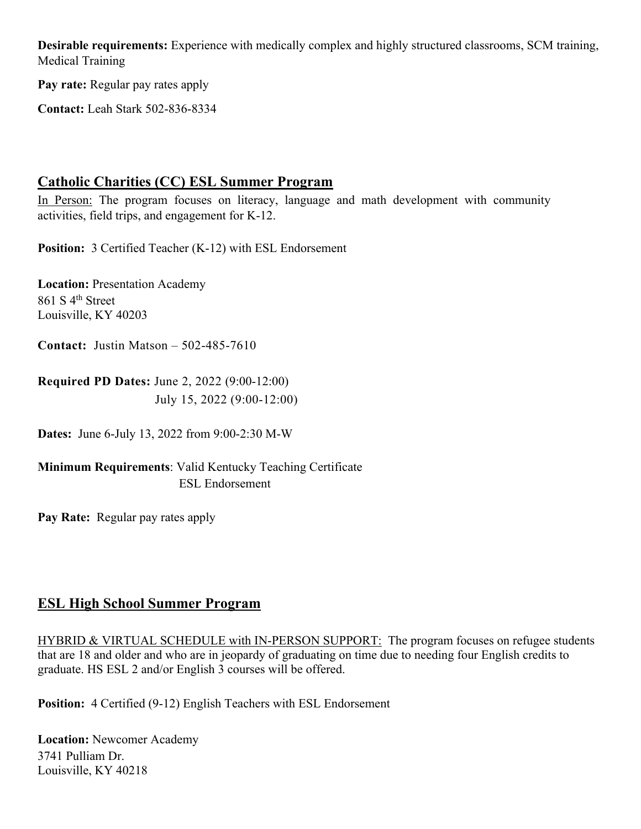**Desirable requirements:** Experience with medically complex and highly structured classrooms, SCM training, Medical Training

**Pay rate:** Regular pay rates apply

**Contact:** Leah Stark 502-836-8334

## **Catholic Charities (CC) ESL Summer Program**

In Person: The program focuses on literacy, language and math development with community activities, field trips, and engagement for K-12.

**Position:** 3 Certified Teacher (K-12) with ESL Endorsement

**Location:** Presentation Academy 861 S 4<sup>th</sup> Street Louisville, KY 40203

**Contact:** Justin Matson – 502-485-7610

**Required PD Dates:** June 2, 2022 (9:00-12:00) July 15, 2022 (9:00-12:00)

**Dates:** June 6-July 13, 2022 from 9:00-2:30 M-W

**Minimum Requirements**: Valid Kentucky Teaching Certificate ESL Endorsement

**Pay Rate:** Regular pay rates apply

## **ESL High School Summer Program**

HYBRID & VIRTUAL SCHEDULE with IN-PERSON SUPPORT: The program focuses on refugee students that are 18 and older and who are in jeopardy of graduating on time due to needing four English credits to graduate. HS ESL 2 and/or English 3 courses will be offered.

**Position:** 4 Certified (9-12) English Teachers with ESL Endorsement

**Location:** Newcomer Academy 3741 Pulliam Dr. Louisville, KY 40218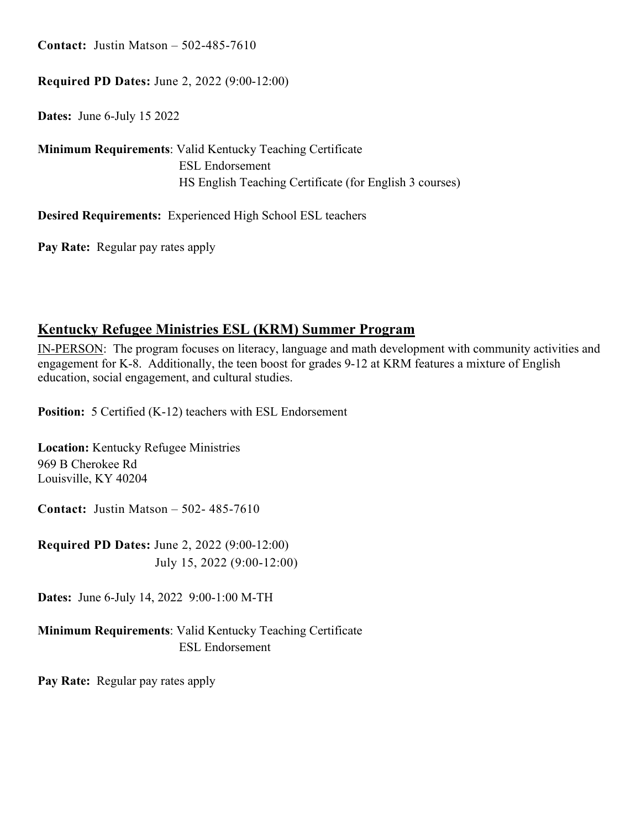**Contact:** Justin Matson – 502-485-7610

#### **Required PD Dates:** June 2, 2022 (9:00-12:00)

**Dates:** June 6-July 15 2022

**Minimum Requirements**: Valid Kentucky Teaching Certificate ESL Endorsement HS English Teaching Certificate (for English 3 courses)

**Desired Requirements:** Experienced High School ESL teachers

**Pay Rate:** Regular pay rates apply

## **Kentucky Refugee Ministries ESL (KRM) Summer Program**

IN-PERSON: The program focuses on literacy, language and math development with community activities and engagement for K-8. Additionally, the teen boost for grades 9-12 at KRM features a mixture of English education, social engagement, and cultural studies.

**Position:** 5 Certified (K-12) teachers with ESL Endorsement

**Location:** Kentucky Refugee Ministries 969 B Cherokee Rd Louisville, KY 40204

**Contact:** Justin Matson – 502- 485-7610

**Required PD Dates:** June 2, 2022 (9:00-12:00) July 15, 2022 (9:00-12:00)

**Dates:** June 6-July 14, 2022 9:00-1:00 M-TH

**Minimum Requirements**: Valid Kentucky Teaching Certificate ESL Endorsement

**Pay Rate:** Regular pay rates apply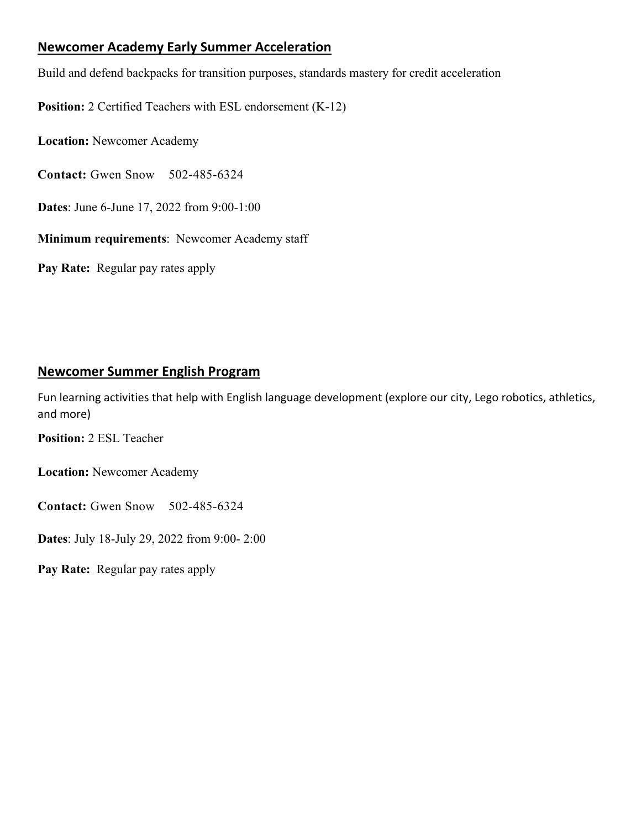### **Newcomer Academy Early Summer Acceleration**

Build and defend backpacks for transition purposes, standards mastery for credit acceleration

**Position:** 2 Certified Teachers with ESL endorsement (K-12)

**Location:** Newcomer Academy

**Contact:** Gwen Snow 502-485-6324

**Dates**: June 6-June 17, 2022 from 9:00-1:00

**Minimum requirements**: Newcomer Academy staff

**Pay Rate:** Regular pay rates apply

#### **Newcomer Summer English Program**

Fun learning activities that help with English language development (explore our city, Lego robotics, athletics, and more)

**Position:** 2 ESL Teacher

**Location:** Newcomer Academy

**Contact:** Gwen Snow 502-485-6324

**Dates**: July 18-July 29, 2022 from 9:00- 2:00

**Pay Rate:** Regular pay rates apply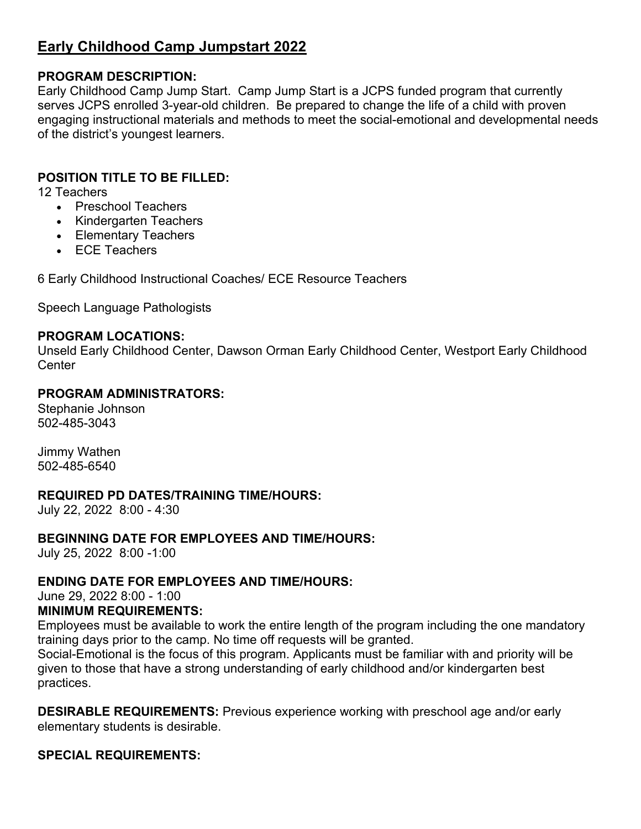## **Early Childhood Camp Jumpstart 2022**

#### **PROGRAM DESCRIPTION:**

Early Childhood Camp Jump Start. Camp Jump Start is a JCPS funded program that currently serves JCPS enrolled 3-year-old children. Be prepared to change the life of a child with proven engaging instructional materials and methods to meet the social-emotional and developmental needs of the district's youngest learners.

### **POSITION TITLE TO BE FILLED:**

12 Teachers

- Preschool Teachers
- Kindergarten Teachers
- Elementary Teachers
- ECE Teachers

6 Early Childhood Instructional Coaches/ ECE Resource Teachers

Speech Language Pathologists

#### **PROGRAM LOCATIONS:**

Unseld Early Childhood Center, Dawson Orman Early Childhood Center, Westport Early Childhood **Center** 

#### **PROGRAM ADMINISTRATORS:**

Stephanie Johnson 502-485-3043

Jimmy Wathen 502-485-6540

#### **REQUIRED PD DATES/TRAINING TIME/HOURS:**

July 22, 2022 8:00 - 4:30

#### **BEGINNING DATE FOR EMPLOYEES AND TIME/HOURS:**

July 25, 2022 8:00 -1:00

#### **ENDING DATE FOR EMPLOYEES AND TIME/HOURS:**

June 29, 2022 8:00 - 1:00

#### **MINIMUM REQUIREMENTS:**

Employees must be available to work the entire length of the program including the one mandatory training days prior to the camp. No time off requests will be granted.

Social-Emotional is the focus of this program. Applicants must be familiar with and priority will be given to those that have a strong understanding of early childhood and/or kindergarten best practices.

**DESIRABLE REQUIREMENTS:** Previous experience working with preschool age and/or early elementary students is desirable.

#### **SPECIAL REQUIREMENTS:**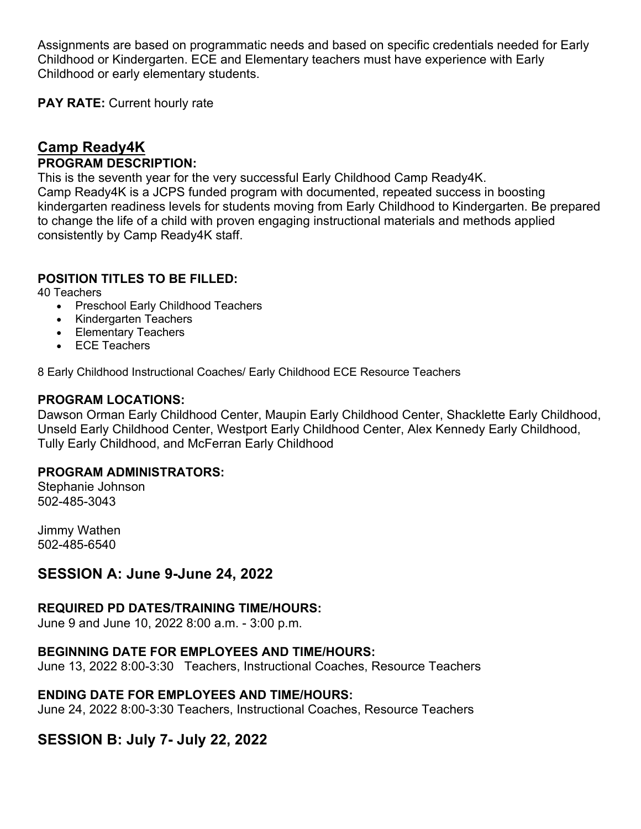Assignments are based on programmatic needs and based on specific credentials needed for Early Childhood or Kindergarten. ECE and Elementary teachers must have experience with Early Childhood or early elementary students.

**PAY RATE:** Current hourly rate

#### **Camp Ready4K PROGRAM DESCRIPTION:**

This is the seventh year for the very successful Early Childhood Camp Ready4K. Camp Ready4K is a JCPS funded program with documented, repeated success in boosting kindergarten readiness levels for students moving from Early Childhood to Kindergarten. Be prepared to change the life of a child with proven engaging instructional materials and methods applied consistently by Camp Ready4K staff.

### **POSITION TITLES TO BE FILLED:**

40 Teachers

- Preschool Early Childhood Teachers
- Kindergarten Teachers
- Elementary Teachers
- ECE Teachers

8 Early Childhood Instructional Coaches/ Early Childhood ECE Resource Teachers

#### **PROGRAM LOCATIONS:**

Dawson Orman Early Childhood Center, Maupin Early Childhood Center, Shacklette Early Childhood, Unseld Early Childhood Center, Westport Early Childhood Center, Alex Kennedy Early Childhood, Tully Early Childhood, and McFerran Early Childhood

#### **PROGRAM ADMINISTRATORS:**

Stephanie Johnson 502-485-3043

Jimmy Wathen 502-485-6540

## **SESSION A: June 9-June 24, 2022**

#### **REQUIRED PD DATES/TRAINING TIME/HOURS:**

June 9 and June 10, 2022 8:00 a.m. - 3:00 p.m.

#### **BEGINNING DATE FOR EMPLOYEES AND TIME/HOURS:**

June 13, 2022 8:00-3:30 Teachers, Instructional Coaches, Resource Teachers

#### **ENDING DATE FOR EMPLOYEES AND TIME/HOURS:**

June 24, 2022 8:00-3:30 Teachers, Instructional Coaches, Resource Teachers

## **SESSION B: July 7- July 22, 2022**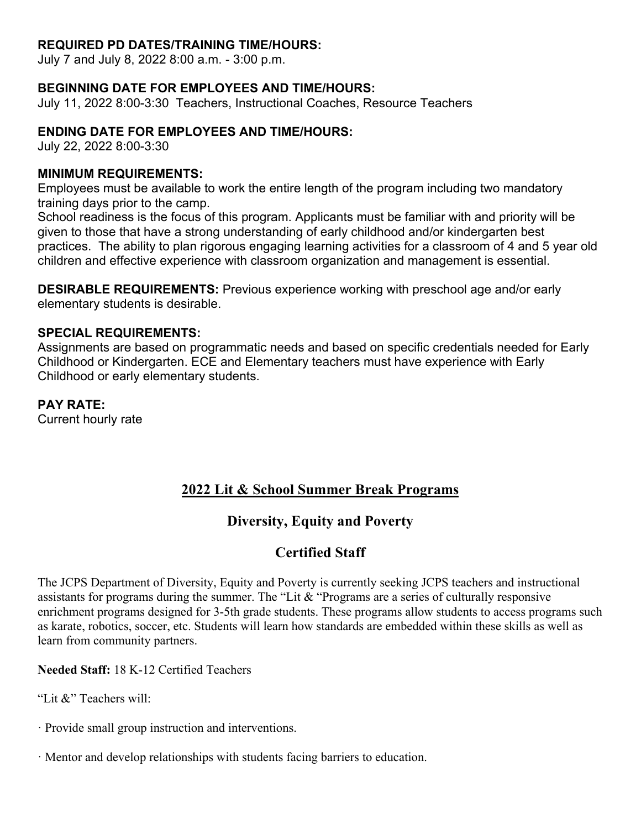#### **REQUIRED PD DATES/TRAINING TIME/HOURS:**

July 7 and July 8, 2022 8:00 a.m. - 3:00 p.m.

#### **BEGINNING DATE FOR EMPLOYEES AND TIME/HOURS:**

July 11, 2022 8:00-3:30 Teachers, Instructional Coaches, Resource Teachers

#### **ENDING DATE FOR EMPLOYEES AND TIME/HOURS:**

July 22, 2022 8:00-3:30

#### **MINIMUM REQUIREMENTS:**

Employees must be available to work the entire length of the program including two mandatory training days prior to the camp.

School readiness is the focus of this program. Applicants must be familiar with and priority will be given to those that have a strong understanding of early childhood and/or kindergarten best practices. The ability to plan rigorous engaging learning activities for a classroom of 4 and 5 year old children and effective experience with classroom organization and management is essential.

**DESIRABLE REQUIREMENTS:** Previous experience working with preschool age and/or early elementary students is desirable.

#### **SPECIAL REQUIREMENTS:**

Assignments are based on programmatic needs and based on specific credentials needed for Early Childhood or Kindergarten. ECE and Elementary teachers must have experience with Early Childhood or early elementary students.

**PAY RATE:**

Current hourly rate

## **2022 Lit & School Summer Break Programs**

## **Diversity, Equity and Poverty**

## **Certified Staff**

The JCPS Department of Diversity, Equity and Poverty is currently seeking JCPS teachers and instructional assistants for programs during the summer. The "Lit & "Programs are a series of culturally responsive enrichment programs designed for 3-5th grade students. These programs allow students to access programs such as karate, robotics, soccer, etc. Students will learn how standards are embedded within these skills as well as learn from community partners.

**Needed Staff:** 18 K-12 Certified Teachers

"Lit &" Teachers will:

· Provide small group instruction and interventions.

· Mentor and develop relationships with students facing barriers to education.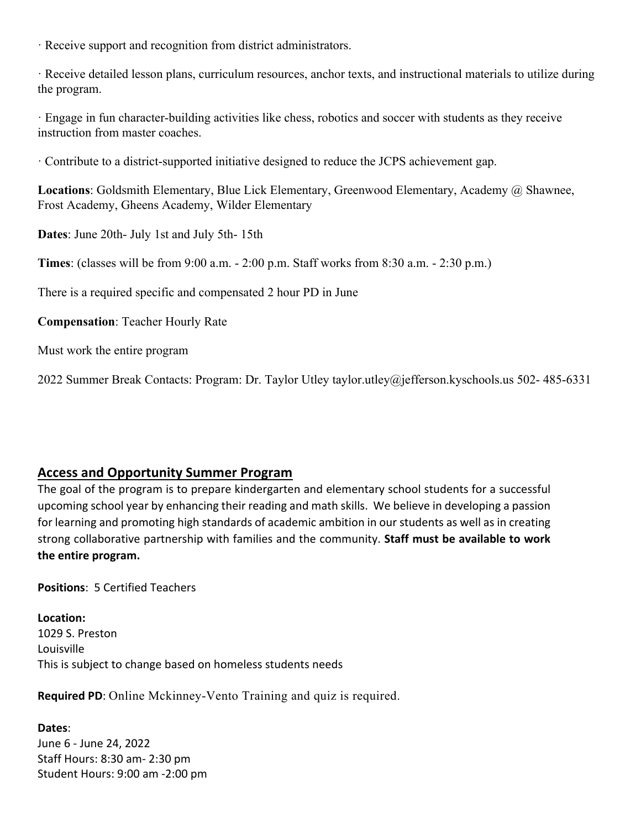· Receive support and recognition from district administrators.

· Receive detailed lesson plans, curriculum resources, anchor texts, and instructional materials to utilize during the program.

· Engage in fun character-building activities like chess, robotics and soccer with students as they receive instruction from master coaches.

· Contribute to a district-supported initiative designed to reduce the JCPS achievement gap.

**Locations**: Goldsmith Elementary, Blue Lick Elementary, Greenwood Elementary, Academy @ Shawnee, Frost Academy, Gheens Academy, Wilder Elementary

**Dates**: June 20th- July 1st and July 5th- 15th

**Times**: (classes will be from 9:00 a.m. - 2:00 p.m. Staff works from 8:30 a.m. - 2:30 p.m.)

There is a required specific and compensated 2 hour PD in June

**Compensation**: Teacher Hourly Rate

Must work the entire program

2022 Summer Break Contacts: Program: Dr. Taylor Utley taylor.utley@jefferson.kyschools.us 502- 485-6331

## **Access and Opportunity Summer Program**

The goal of the program is to prepare kindergarten and elementary school students for a successful upcoming school year by enhancing their reading and math skills. We believe in developing a passion for learning and promoting high standards of academic ambition in our students as well as in creating strong collaborative partnership with families and the community. **Staff must be available to work the entire program.** 

**Positions**: 5 Certified Teachers

**Location:** 1029 S. Preston Louisville This is subject to change based on homeless students needs

**Required PD**: Online Mckinney-Vento Training and quiz is required.

**Dates**: June 6 - June 24, 2022 Staff Hours: 8:30 am- 2:30 pm Student Hours: 9:00 am -2:00 pm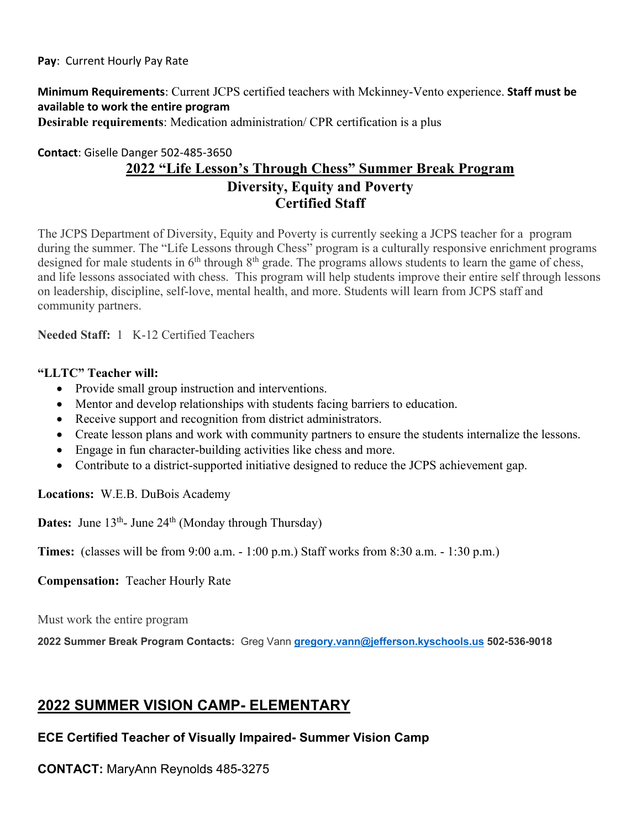#### **Minimum Requirements**: Current JCPS certified teachers with Mckinney-Vento experience. **Staff must be available to work the entire program Desirable requirements**: Medication administration/ CPR certification is a plus

### **Contact**: Giselle Danger 502-485-3650 **2022 "Life Lesson's Through Chess" Summer Break Program Diversity, Equity and Poverty Certified Staff**

The JCPS Department of Diversity, Equity and Poverty is currently seeking a JCPS teacher for a program during the summer. The "Life Lessons through Chess" program is a culturally responsive enrichment programs designed for male students in  $6<sup>th</sup>$  through  $8<sup>th</sup>$  grade. The programs allows students to learn the game of chess, and life lessons associated with chess. This program will help students improve their entire self through lessons on leadership, discipline, self-love, mental health, and more. Students will learn from JCPS staff and community partners.

**Needed Staff:** 1 K-12 Certified Teachers

#### **"LLTC" Teacher will:**

- Provide small group instruction and interventions.
- Mentor and develop relationships with students facing barriers to education.
- Receive support and recognition from district administrators.
- Create lesson plans and work with community partners to ensure the students internalize the lessons.
- Engage in fun character-building activities like chess and more.
- Contribute to a district-supported initiative designed to reduce the JCPS achievement gap.

**Locations:** W.E.B. DuBois Academy

**Dates:** June 13<sup>th</sup>- June 24<sup>th</sup> (Monday through Thursday)

**Times:** (classes will be from 9:00 a.m. - 1:00 p.m.) Staff works from 8:30 a.m. - 1:30 p.m.)

**Compensation:** Teacher Hourly Rate

Must work the entire program

**2022 Summer Break Program Contacts:** Greg Vann **gregory.vann@jefferson.kyschools.us 502-536-9018**

## **2022 SUMMER VISION CAMP- ELEMENTARY**

#### **ECE Certified Teacher of Visually Impaired- Summer Vision Camp**

**CONTACT:** MaryAnn Reynolds 485-3275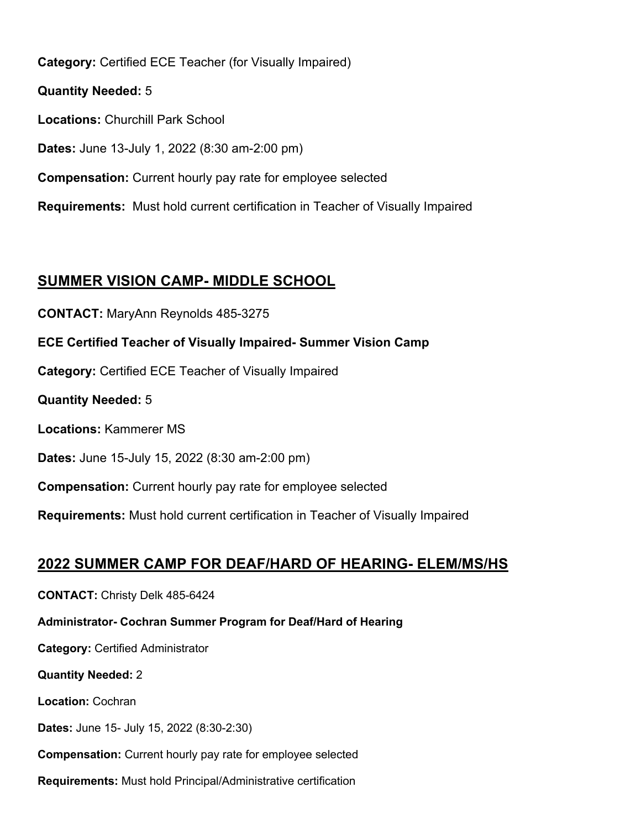**Category:** Certified ECE Teacher (for Visually Impaired)

**Quantity Needed:** 5 **Locations:** Churchill Park School **Dates:** June 13-July 1, 2022 (8:30 am-2:00 pm) **Compensation:** Current hourly pay rate for employee selected **Requirements:** Must hold current certification in Teacher of Visually Impaired

## **SUMMER VISION CAMP- MIDDLE SCHOOL**

**CONTACT:** MaryAnn Reynolds 485-3275 **ECE Certified Teacher of Visually Impaired- Summer Vision Camp Category:** Certified ECE Teacher of Visually Impaired **Quantity Needed:** 5 **Locations:** Kammerer MS **Dates:** June 15-July 15, 2022 (8:30 am-2:00 pm) **Compensation:** Current hourly pay rate for employee selected **Requirements:** Must hold current certification in Teacher of Visually Impaired

## **2022 SUMMER CAMP FOR DEAF/HARD OF HEARING- ELEM/MS/HS**

**CONTACT:** Christy Delk 485-6424 **Administrator- Cochran Summer Program for Deaf/Hard of Hearing Category:** Certified Administrator **Quantity Needed:** 2 **Location:** Cochran **Dates:** June 15- July 15, 2022 (8:30-2:30) **Compensation:** Current hourly pay rate for employee selected **Requirements:** Must hold Principal/Administrative certification